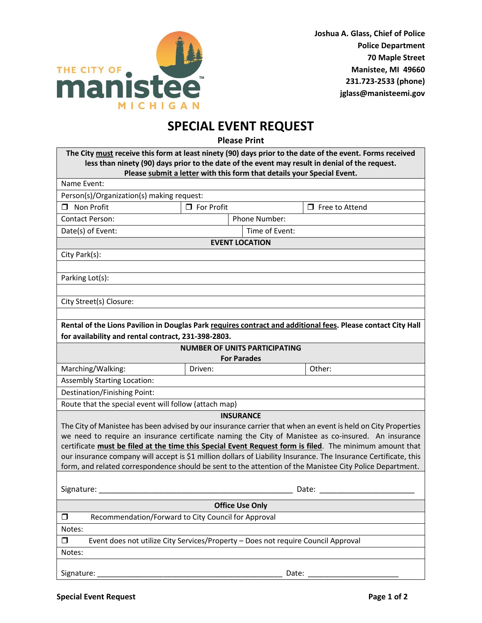

## **SPECIAL EVENT REQUEST**

**Please Print**

| The City must receive this form at least ninety (90) days prior to the date of the event. Forms received<br>less than ninety (90) days prior to the date of the event may result in denial of the request.<br>Please submit a letter with this form that details your Special Event.                                                                                                                                                                                                                                                                                               |                   |               |                       |  |  |  |  |
|------------------------------------------------------------------------------------------------------------------------------------------------------------------------------------------------------------------------------------------------------------------------------------------------------------------------------------------------------------------------------------------------------------------------------------------------------------------------------------------------------------------------------------------------------------------------------------|-------------------|---------------|-----------------------|--|--|--|--|
| Name Event:                                                                                                                                                                                                                                                                                                                                                                                                                                                                                                                                                                        |                   |               |                       |  |  |  |  |
| Person(s)/Organization(s) making request:                                                                                                                                                                                                                                                                                                                                                                                                                                                                                                                                          |                   |               |                       |  |  |  |  |
| $\Box$ Non Profit                                                                                                                                                                                                                                                                                                                                                                                                                                                                                                                                                                  | $\Box$ For Profit |               | $\Box$ Free to Attend |  |  |  |  |
| Contact Person:                                                                                                                                                                                                                                                                                                                                                                                                                                                                                                                                                                    |                   | Phone Number: |                       |  |  |  |  |
| Date(s) of Event:                                                                                                                                                                                                                                                                                                                                                                                                                                                                                                                                                                  | Time of Event:    |               |                       |  |  |  |  |
| <b>EVENT LOCATION</b>                                                                                                                                                                                                                                                                                                                                                                                                                                                                                                                                                              |                   |               |                       |  |  |  |  |
| City Park(s):                                                                                                                                                                                                                                                                                                                                                                                                                                                                                                                                                                      |                   |               |                       |  |  |  |  |
|                                                                                                                                                                                                                                                                                                                                                                                                                                                                                                                                                                                    |                   |               |                       |  |  |  |  |
| Parking Lot(s):                                                                                                                                                                                                                                                                                                                                                                                                                                                                                                                                                                    |                   |               |                       |  |  |  |  |
|                                                                                                                                                                                                                                                                                                                                                                                                                                                                                                                                                                                    |                   |               |                       |  |  |  |  |
| City Street(s) Closure:                                                                                                                                                                                                                                                                                                                                                                                                                                                                                                                                                            |                   |               |                       |  |  |  |  |
|                                                                                                                                                                                                                                                                                                                                                                                                                                                                                                                                                                                    |                   |               |                       |  |  |  |  |
| Rental of the Lions Pavilion in Douglas Park requires contract and additional fees. Please contact City Hall                                                                                                                                                                                                                                                                                                                                                                                                                                                                       |                   |               |                       |  |  |  |  |
| for availability and rental contract, 231-398-2803.                                                                                                                                                                                                                                                                                                                                                                                                                                                                                                                                |                   |               |                       |  |  |  |  |
| <b>NUMBER OF UNITS PARTICIPATING</b><br><b>For Parades</b>                                                                                                                                                                                                                                                                                                                                                                                                                                                                                                                         |                   |               |                       |  |  |  |  |
| Marching/Walking:                                                                                                                                                                                                                                                                                                                                                                                                                                                                                                                                                                  | Driven:           |               | Other:                |  |  |  |  |
| <b>Assembly Starting Location:</b>                                                                                                                                                                                                                                                                                                                                                                                                                                                                                                                                                 |                   |               |                       |  |  |  |  |
| Destination/Finishing Point:                                                                                                                                                                                                                                                                                                                                                                                                                                                                                                                                                       |                   |               |                       |  |  |  |  |
| Route that the special event will follow (attach map)                                                                                                                                                                                                                                                                                                                                                                                                                                                                                                                              |                   |               |                       |  |  |  |  |
| <b>INSURANCE</b><br>The City of Manistee has been advised by our insurance carrier that when an event is held on City Properties<br>we need to require an insurance certificate naming the City of Manistee as co-insured. An insurance<br>certificate must be filed at the time this Special Event Request form is filed. The minimum amount that<br>our insurance company will accept is \$1 million dollars of Liability Insurance. The Insurance Certificate, this<br>form, and related correspondence should be sent to the attention of the Manistee City Police Department. |                   |               |                       |  |  |  |  |
| Signature:<br>Date:                                                                                                                                                                                                                                                                                                                                                                                                                                                                                                                                                                |                   |               |                       |  |  |  |  |
| <b>Office Use Only</b>                                                                                                                                                                                                                                                                                                                                                                                                                                                                                                                                                             |                   |               |                       |  |  |  |  |
| Recommendation/Forward to City Council for Approval<br>$\Box$                                                                                                                                                                                                                                                                                                                                                                                                                                                                                                                      |                   |               |                       |  |  |  |  |
| Notes:                                                                                                                                                                                                                                                                                                                                                                                                                                                                                                                                                                             |                   |               |                       |  |  |  |  |
| $\Box$<br>Event does not utilize City Services/Property - Does not require Council Approval                                                                                                                                                                                                                                                                                                                                                                                                                                                                                        |                   |               |                       |  |  |  |  |
| Notes:                                                                                                                                                                                                                                                                                                                                                                                                                                                                                                                                                                             |                   |               |                       |  |  |  |  |
| Signature:                                                                                                                                                                                                                                                                                                                                                                                                                                                                                                                                                                         |                   | Date:         |                       |  |  |  |  |